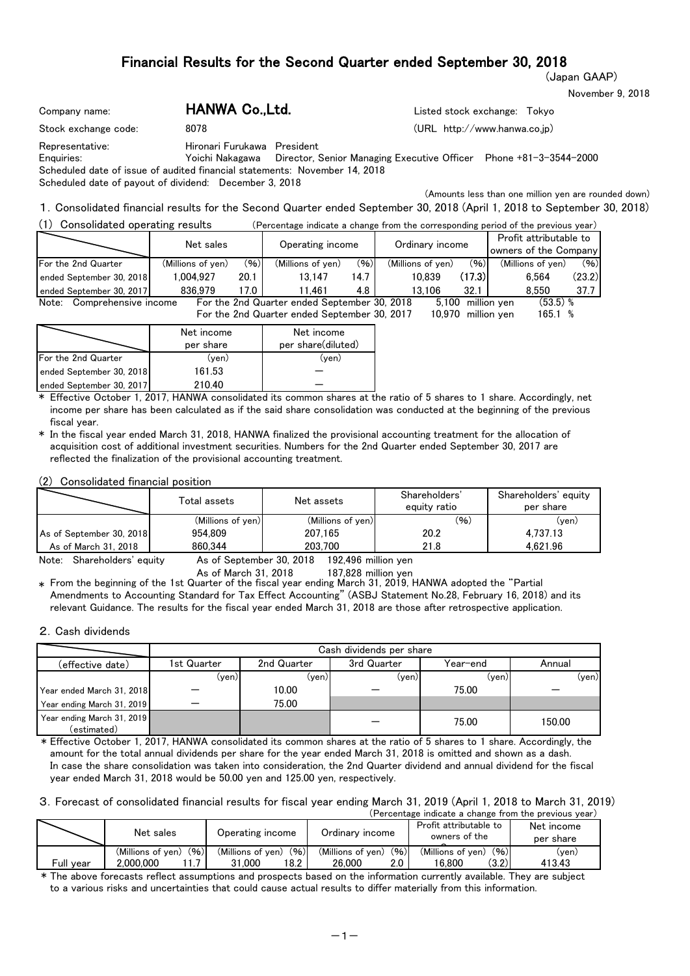(Japan GAAP)

November 9, 2018

| Company name:                                                                                                                                                         | HANWA Co., Ltd.             | Listed stock exchange: Tokyo                                                                                                                                                   |
|-----------------------------------------------------------------------------------------------------------------------------------------------------------------------|-----------------------------|--------------------------------------------------------------------------------------------------------------------------------------------------------------------------------|
| Stock exchange code:<br>8078                                                                                                                                          |                             | (URL http://www.hanwa.co.jp)                                                                                                                                                   |
| Representative:<br>Enquiries:<br>Scheduled date of issue of audited financial statements: November 14, 2018<br>Scheduled date of payout of dividend: December 3, 2018 | Hironari Furukawa President | Yoichi Nakagawa Director, Senior Managing Executive Officer Phone +81-3-3544-2000                                                                                              |
|                                                                                                                                                                       |                             | (Amounts less than one million yen are rounded down)<br>1 Consolidated financial results for the Second Quarter ended Sentember 30, 2018 (April 1, 2018 to Sentember 30, 2018) |

 $\omega$ onsolidated financial results for the Second Quarter ended September 30, 2018 (April 1, 2018 to September 30, 2018)

| Consolidated operating results           |                                              |        | (Percentage indicate a change from the corresponding period of the previous year) |                    |                   |        |                                                 |        |
|------------------------------------------|----------------------------------------------|--------|-----------------------------------------------------------------------------------|--------------------|-------------------|--------|-------------------------------------------------|--------|
| Net sales                                |                                              |        | Operating income                                                                  |                    | Ordinary income   |        | Profit attributable to<br>owners of the Company |        |
| For the 2nd Quarter<br>(Millions of yen) |                                              | (96)   | (Millions of ven)                                                                 | (96)               | (Millions of ven) | (96)   | (Millions of yen)                               | (96)   |
| ended September 30, 2018                 | 1.004.927                                    | 20.1   | 13.147                                                                            | 14.7               | 10.839            | (17.3) | 6.564                                           | (23.2) |
| 836.979<br>ended September 30, 2017      |                                              | 17.0 I | 11.461                                                                            | 4.8 I              | 13.106            | 32.1   | 8.550                                           | 37.7   |
| Note: Comprehensive income               |                                              |        | For the 2nd Quarter ended September 30, 2018                                      |                    | 5.100             |        | $(53.5)$ %<br>million yen                       |        |
|                                          | For the 2nd Quarter ended September 30, 2017 |        |                                                                                   | 10,970 million yen | 165.1 %           |        |                                                 |        |

|                            | Net income | Net income         |
|----------------------------|------------|--------------------|
|                            | per share  | per share(diluted) |
| <b>For the 2nd Quarter</b> | (ven)      | (ven)              |
| ended September 30, 2018   | 161.53     |                    |
| ended September 30, 2017   | 210.40     |                    |

\* Effective October 1, 2017, HANWA consolidated its common shares at the ratio of 5 shares to 1 share. Accordingly, net income per share has been calculated as if the said share consolidation was conducted at the beginning of the previous fiscal year.

\* In the fiscal year ended March 31, 2018, HANWA finalized the provisional accounting treatment for the allocation of acquisition cost of additional investment securities. Numbers for the 2nd Quarter ended September 30, 2017 are reflected the finalization of the provisional accounting treatment.

(2) Consolidated financial position

|                          | Total assets      | Net assets        | Shareholders'<br>equity ratio | Shareholders' equity<br>per share |
|--------------------------|-------------------|-------------------|-------------------------------|-----------------------------------|
|                          | (Millions of yen) | (Millions of yen) | (96)                          | $(\mathsf{ven})$                  |
| As of September 30, 2018 | 954.809           | 207.165           | 20.2                          | 4.737.13                          |
| As of March 31, 2018     | 860.344           | 203.700           | 21.8                          | 4.621.96                          |

Note: Shareholders' equity As of September 30, 2018 192,496 million yen

 $\ast$  From the beginning of the 1st Quarter of the fiscal year ending March 31, 2019, HANWA adopted the "Partial Amendments to Accounting Standard for Tax Effect Accounting" (ASBJ Statement No.28, February 16, 2018) and its relevant Guidance. The results for the fiscal year ended March 31, 2018 are those after retrospective application.

#### 2.Cash dividends

|                                           | Cash dividends per share |             |             |          |        |  |  |  |  |  |
|-------------------------------------------|--------------------------|-------------|-------------|----------|--------|--|--|--|--|--|
| (effective date)                          | 1st Quarter              | 2nd Quarter | 3rd Quarter | Year–end | Annual |  |  |  |  |  |
|                                           | (ven)l                   | (ven)       | (ven)       | (ven)    | (yen)  |  |  |  |  |  |
| Year ended March 31, 2018                 |                          | 10.00       |             | 75.00    |        |  |  |  |  |  |
| Year ending March 31, 2019                |                          | 75.00       |             |          |        |  |  |  |  |  |
| Year ending March 31, 2019<br>(estimated) |                          |             |             | 75.00    | 150.00 |  |  |  |  |  |

\* Effective October 1, 2017, HANWA consolidated its common shares at the ratio of 5 shares to 1 share. Accordingly, the amount for the total annual dividends per share for the year ended March 31, 2018 is omitted and shown as a dash. In case the share consolidation was taken into consideration, the 2nd Quarter dividend and annual dividend for the fiscal year ended March 31, 2018 would be 50.00 yen and 125.00 yen, respectively.

3.Forecast of consolidated financial results for fiscal year ending March 31, 2019 (April 1, 2018 to March 31, 2019)

|           |                           |                           | (Percentage indicate a change from the previous year) |                                         |                         |  |  |  |  |  |
|-----------|---------------------------|---------------------------|-------------------------------------------------------|-----------------------------------------|-------------------------|--|--|--|--|--|
|           | Net sales                 | Operating income          | Ordinary income                                       | Profit attributable to<br>owners of the | Net income<br>per share |  |  |  |  |  |
|           | (96)<br>(Millions of yen) | (96)<br>(Millions of yen) | (96)<br>(Millions of ven)                             | (96)<br>(Millions of ven)               | (yen)                   |  |  |  |  |  |
| Full vear | 2.000.000                 | 18.2<br>31.000            | 26.000<br>2.0                                         | (3.2)<br>16.800                         | 413.43                  |  |  |  |  |  |

\* The above forecasts reflect assumptions and prospects based on the information currently available. They are subject to a various risks and uncertainties that could cause actual results to differ materially from this information.

As of March 31, 2018 187,828 million yen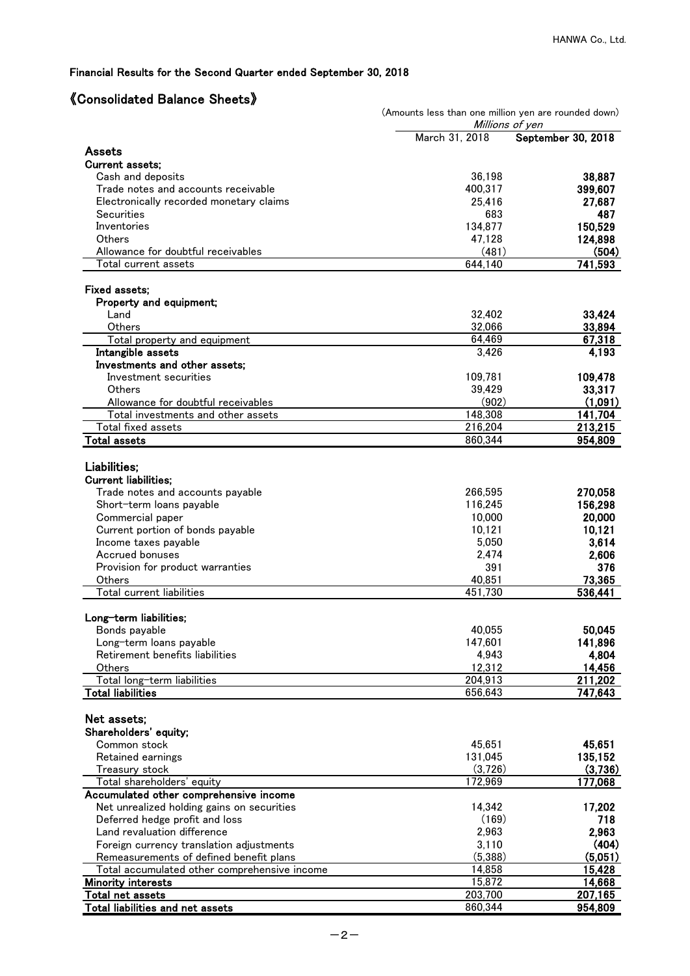# 《Consolidated Balance Sheets》

| טווסטוועמנטע באומווטט                                                                   | (Amounts less than one million yen are rounded down)<br>Millions of yen |                    |
|-----------------------------------------------------------------------------------------|-------------------------------------------------------------------------|--------------------|
|                                                                                         | March 31, 2018                                                          | September 30, 2018 |
| Assets                                                                                  |                                                                         |                    |
| <b>Current assets:</b>                                                                  |                                                                         |                    |
| Cash and deposits<br>Trade notes and accounts receivable                                | 36,198<br>400,317                                                       | 38,887<br>399,607  |
| Electronically recorded monetary claims                                                 | 25,416                                                                  | 27,687             |
| Securities                                                                              | 683                                                                     | 487                |
| Inventories                                                                             | 134,877                                                                 | 150,529            |
| Others                                                                                  | 47,128                                                                  | 124,898            |
| Allowance for doubtful receivables                                                      | (481)                                                                   | (504)              |
| Total current assets                                                                    | 644,140                                                                 | 741,593            |
| Fixed assets;                                                                           |                                                                         |                    |
| Property and equipment;                                                                 |                                                                         |                    |
| Land                                                                                    | 32,402                                                                  | 33,424             |
| Others                                                                                  | 32,066                                                                  | 33,894             |
| Total property and equipment                                                            | 64,469                                                                  | 67,318             |
| Intangible assets                                                                       | 3,426                                                                   | 4,193              |
| Investments and other assets;                                                           |                                                                         |                    |
| Investment securities                                                                   | 109,781                                                                 | 109,478            |
| Others                                                                                  | 39.429                                                                  | 33,317             |
| Allowance for doubtful receivables                                                      | (902)                                                                   | (1,091)            |
| Total investments and other assets                                                      | 148,308                                                                 | 141,704<br>213,215 |
| Total fixed assets<br><b>Total assets</b>                                               | 216,204<br>860,344                                                      | 954,809            |
|                                                                                         |                                                                         |                    |
| Liabilities;                                                                            |                                                                         |                    |
| <b>Current liabilities;</b>                                                             |                                                                         |                    |
| Trade notes and accounts payable                                                        | 266,595                                                                 | 270,058            |
| Short-term loans payable                                                                | 116,245                                                                 | 156,298            |
| Commercial paper                                                                        | 10,000                                                                  | 20,000             |
| Current portion of bonds payable                                                        | 10,121                                                                  | 10,121             |
| Income taxes payable                                                                    | 5,050                                                                   | 3,614              |
| Accrued bonuses                                                                         | 2,474                                                                   | 2,606              |
| Provision for product warranties                                                        | 391                                                                     | 376                |
| Others<br>Total current liabilities                                                     | 40,851<br>451,730                                                       | 73,365<br>536,441  |
|                                                                                         |                                                                         |                    |
| Long-term liabilities;                                                                  |                                                                         |                    |
| Bonds payable                                                                           | 40,055                                                                  | 50,045             |
| Long-term loans payable                                                                 | 147,601                                                                 | 141,896            |
| Retirement benefits liabilities                                                         | 4,943                                                                   | 4,804              |
| Others                                                                                  | 12,312                                                                  | 14,456             |
| Total long-term liabilities                                                             | 204,913                                                                 | 211,202            |
| <b>Total liabilities</b>                                                                | 656,643                                                                 | 747,643            |
| Net assets;                                                                             |                                                                         |                    |
| Shareholders' equity;                                                                   |                                                                         |                    |
| Common stock                                                                            | 45,651                                                                  | 45,651             |
| Retained earnings                                                                       | 131,045                                                                 | 135,152            |
| Treasury stock                                                                          | (3,726)                                                                 | (3,736)            |
| Total shareholders' equity                                                              | 172,969                                                                 | 177,068            |
| Accumulated other comprehensive income                                                  |                                                                         |                    |
| Net unrealized holding gains on securities                                              | 14,342                                                                  | 17,202             |
| Deferred hedge profit and loss                                                          | (169)                                                                   | 718                |
| Land revaluation difference                                                             | 2,963                                                                   | 2,963              |
| Foreign currency translation adjustments                                                | 3,110                                                                   | (404)              |
| Remeasurements of defined benefit plans<br>Total accumulated other comprehensive income | (5,388)<br>14,858                                                       | (5,051)<br>15,428  |
| <b>Minority interests</b>                                                               | 15,872                                                                  | 14,668             |
| Total net assets                                                                        | 203,700                                                                 | 207,165            |
| <b>Total liabilities and net assets</b>                                                 | 860,344                                                                 | 954,809            |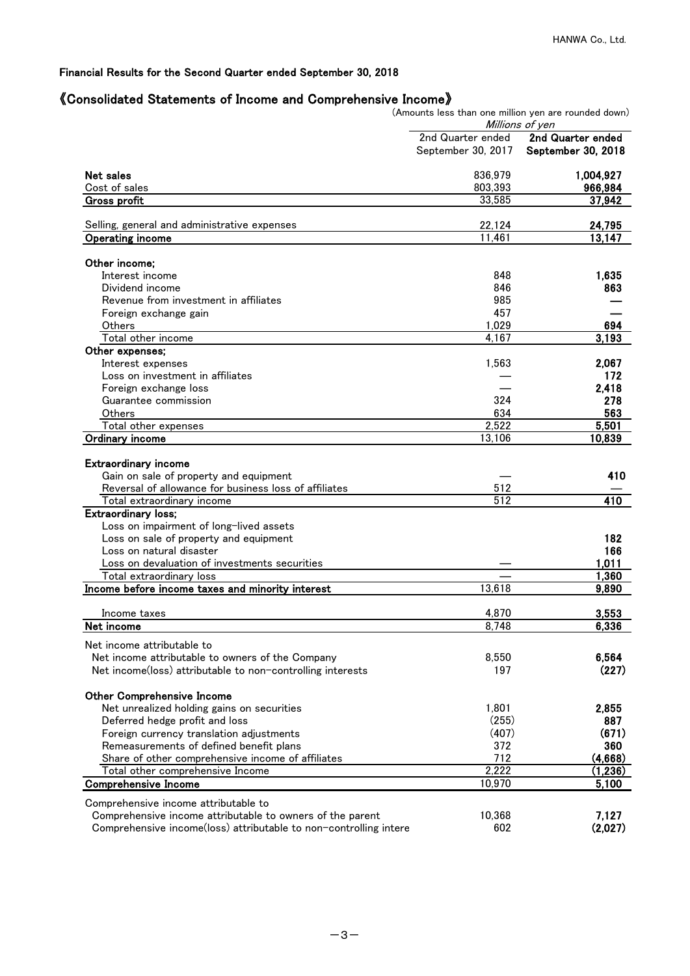# 《Consolidated Statements of Income and Comprehensive Income》

|                                                                                                                                                              | (Amounts less than one million yen are rounded down) | Millions of yen    |
|--------------------------------------------------------------------------------------------------------------------------------------------------------------|------------------------------------------------------|--------------------|
|                                                                                                                                                              | 2nd Quarter ended                                    | 2nd Quarter ended  |
|                                                                                                                                                              | September 30, 2017                                   | September 30, 2018 |
| Net sales                                                                                                                                                    | 836,979                                              | 1,004,927          |
| Cost of sales                                                                                                                                                | 803,393                                              | 966,984            |
| Gross profit                                                                                                                                                 | 33,585                                               | 37,942             |
| Selling, general and administrative expenses                                                                                                                 | 22,124                                               | 24,795             |
| Operating income                                                                                                                                             | 11,461                                               | 13,147             |
|                                                                                                                                                              |                                                      |                    |
| Other income;<br>Interest income                                                                                                                             | 848                                                  | 1,635              |
| Dividend income                                                                                                                                              | 846                                                  | 863                |
| Revenue from investment in affiliates                                                                                                                        | 985                                                  |                    |
| Foreign exchange gain                                                                                                                                        | 457                                                  |                    |
| Others                                                                                                                                                       | 1,029                                                | 694                |
| Total other income                                                                                                                                           | 4,167                                                | 3,193              |
| Other expenses;                                                                                                                                              |                                                      |                    |
| Interest expenses                                                                                                                                            | 1,563                                                | 2,067              |
| Loss on investment in affiliates                                                                                                                             |                                                      | 172                |
| Foreign exchange loss                                                                                                                                        |                                                      | 2,418              |
| Guarantee commission                                                                                                                                         | 324                                                  | 278                |
| Others                                                                                                                                                       | 634                                                  | 563                |
| Total other expenses                                                                                                                                         | 2,522                                                | 5,501              |
| <b>Ordinary income</b>                                                                                                                                       | 13,106                                               | 10,839             |
| <b>Extraordinary income</b><br>Gain on sale of property and equipment<br>Reversal of allowance for business loss of affiliates<br>Total extraordinary income | 512<br>$\overline{512}$                              | 410<br>410         |
| <b>Extraordinary loss;</b>                                                                                                                                   |                                                      |                    |
| Loss on impairment of long-lived assets                                                                                                                      |                                                      |                    |
| Loss on sale of property and equipment                                                                                                                       |                                                      | 182                |
| Loss on natural disaster                                                                                                                                     |                                                      | 166                |
| Loss on devaluation of investments securities                                                                                                                |                                                      | 1,011              |
| Total extraordinary loss                                                                                                                                     |                                                      | 1,360              |
| Income before income taxes and minority interest                                                                                                             | 13,618                                               | 9,890              |
| Income taxes                                                                                                                                                 | 4,870                                                | 3,553              |
| Net income                                                                                                                                                   | 8.748                                                | 6.336              |
| Net income attributable to                                                                                                                                   |                                                      |                    |
| Net income attributable to owners of the Company                                                                                                             | 8,550                                                | 6,564              |
| Net income(loss) attributable to non-controlling interests                                                                                                   | 197                                                  | (227)              |
| <b>Other Comprehensive Income</b>                                                                                                                            |                                                      |                    |
| Net unrealized holding gains on securities                                                                                                                   | 1,801                                                | 2,855              |
| Deferred hedge profit and loss                                                                                                                               | (255)                                                | 887                |
| Foreign currency translation adjustments                                                                                                                     | (407)                                                | (671)              |
| Remeasurements of defined benefit plans                                                                                                                      | 372                                                  | 360                |
| Share of other comprehensive income of affiliates                                                                                                            | 712                                                  | (4,668)            |
| Total other comprehensive Income                                                                                                                             | 2,222                                                | (1,236)            |
| <b>Comprehensive Income</b>                                                                                                                                  | 10,970                                               | 5,100              |
| Comprehensive income attributable to                                                                                                                         |                                                      |                    |
| Comprehensive income attributable to owners of the parent                                                                                                    | 10,368                                               | 7,127              |
| Comprehensive income(loss) attributable to non-controlling intere                                                                                            | 602                                                  | (2,027)            |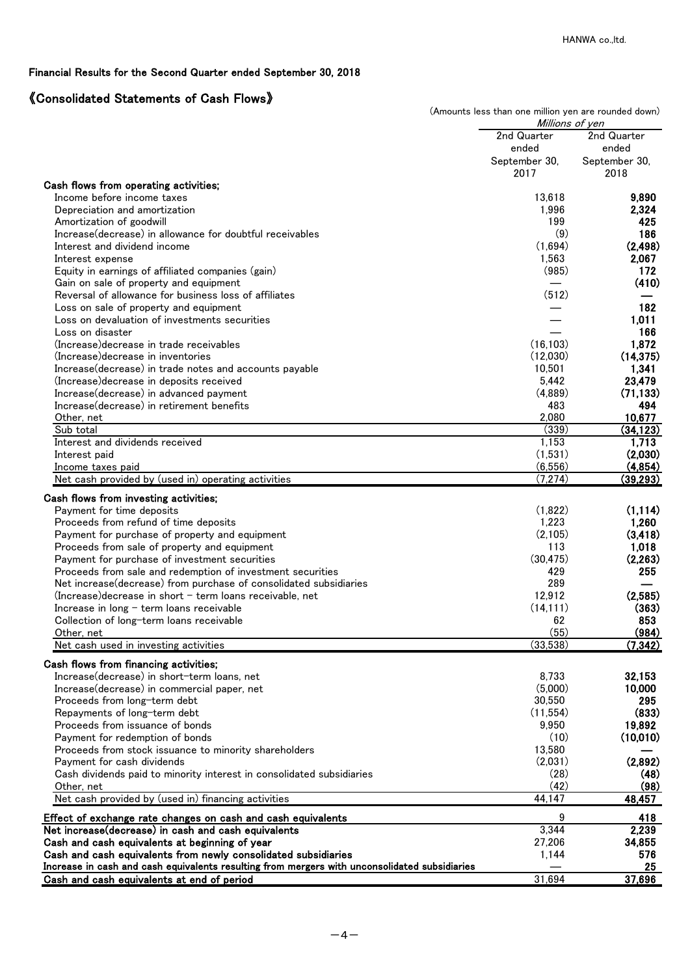# 《Consolidated Statements of Cash Flows》

|                                                                                                                     | (Amounts less than one million yen are rounded down)<br>Millions of yen |                |
|---------------------------------------------------------------------------------------------------------------------|-------------------------------------------------------------------------|----------------|
|                                                                                                                     | 2nd Quarter                                                             | 2nd Quarter    |
|                                                                                                                     | ended                                                                   | ended          |
|                                                                                                                     | September 30,                                                           | September 30,  |
|                                                                                                                     | 2017                                                                    | 2018           |
| Cash flows from operating activities;                                                                               |                                                                         |                |
| Income before income taxes                                                                                          | 13,618                                                                  | 9,890          |
| Depreciation and amortization                                                                                       | 1,996                                                                   | 2,324          |
| Amortization of goodwill                                                                                            | 199                                                                     | 425            |
| Increase (decrease) in allowance for doubtful receivables                                                           | (9)                                                                     | 186            |
| Interest and dividend income                                                                                        | (1,694)                                                                 | (2, 498)       |
| Interest expense                                                                                                    | 1,563                                                                   | 2,067          |
| Equity in earnings of affiliated companies (gain)                                                                   | (985)                                                                   | 172            |
| Gain on sale of property and equipment                                                                              |                                                                         | (410)          |
| Reversal of allowance for business loss of affiliates                                                               | (512)                                                                   |                |
| Loss on sale of property and equipment                                                                              |                                                                         | 182            |
| Loss on devaluation of investments securities                                                                       |                                                                         | 1,011          |
| Loss on disaster                                                                                                    |                                                                         | 166            |
| (Increase) decrease in trade receivables                                                                            | (16, 103)                                                               | 1,872          |
| (Increase) decrease in inventories                                                                                  | (12,030)                                                                | (14, 375)      |
| Increase(decrease) in trade notes and accounts payable                                                              | 10,501                                                                  | 1,341          |
| (Increase) decrease in deposits received                                                                            | 5,442                                                                   | 23,479         |
| Increase(decrease) in advanced payment                                                                              | (4,889)                                                                 | (71, 133)      |
| Increase (decrease) in retirement benefits                                                                          | 483                                                                     | 494            |
| Other, net                                                                                                          | 2,080                                                                   | 10,677         |
| Sub total                                                                                                           | $\overline{(339)}$                                                      | (34, 123)      |
| Interest and dividends received                                                                                     | 1,153                                                                   | 1,713          |
| Interest paid                                                                                                       | (1,531)                                                                 | (2,030)        |
| Income taxes paid                                                                                                   | (6,556)                                                                 | (4,854)        |
| Net cash provided by (used in) operating activities                                                                 | (7,274)                                                                 | (39, 293)      |
| Cash flows from investing activities;                                                                               |                                                                         |                |
| Payment for time deposits                                                                                           | (1,822)                                                                 | (1, 114)       |
| Proceeds from refund of time deposits                                                                               | 1,223                                                                   | 1,260          |
| Payment for purchase of property and equipment                                                                      | (2,105)                                                                 | (3, 418)       |
| Proceeds from sale of property and equipment                                                                        | 113                                                                     | 1,018          |
| Payment for purchase of investment securities                                                                       | (30, 475)                                                               | (2,263)        |
| Proceeds from sale and redemption of investment securities                                                          | 429                                                                     | 255            |
| Net increase(decrease) from purchase of consolidated subsidiaries                                                   | 289                                                                     |                |
| (Increase)decrease in short - term loans receivable, net                                                            | 12,912                                                                  | (2,585)        |
| Increase in long - term loans receivable                                                                            | (14, 111)                                                               | (363)          |
| Collection of long-term loans receivable                                                                            | 62                                                                      | 853            |
| Other, net                                                                                                          | (55)                                                                    | (984)          |
| Net cash used in investing activities                                                                               | (33,538)                                                                | (7, 342)       |
|                                                                                                                     |                                                                         |                |
| Cash flows from financing activities;                                                                               |                                                                         | 32,153         |
| Increase(decrease) in short-term loans, net<br>Increase(decrease) in commercial paper, net                          | 8,733<br>(5,000)                                                        | 10,000         |
|                                                                                                                     | 30,550                                                                  | 295            |
| Proceeds from long-term debt                                                                                        |                                                                         | (833)          |
| Repayments of long-term debt                                                                                        | (11, 554)<br>9,950                                                      | 19,892         |
| Proceeds from issuance of bonds<br>Payment for redemption of bonds                                                  | (10)                                                                    | (10,010)       |
| Proceeds from stock issuance to minority shareholders                                                               | 13,580                                                                  |                |
|                                                                                                                     | (2,031)                                                                 |                |
| Payment for cash dividends                                                                                          |                                                                         | (2,892)        |
| Cash dividends paid to minority interest in consolidated subsidiaries                                               | (28)<br>(42)                                                            | (48)           |
| Other, net<br>Net cash provided by (used in) financing activities                                                   | 44,147                                                                  | (98)<br>48,457 |
|                                                                                                                     |                                                                         |                |
| Effect of exchange rate changes on cash and cash equivalents<br>Net increase(decrease) in cash and cash equivalents | 9<br>3,344                                                              | 418<br>2,239   |
| Cash and cash equivalents at beginning of year                                                                      | 27,206                                                                  | 34,855         |
| Cash and cash equivalents from newly consolidated subsidiaries                                                      | 1,144                                                                   | 576            |
| Increase in cash and cash equivalents resulting from mergers with unconsolidated subsidiaries                       |                                                                         | 25             |
| Cash and cash equivalents at end of period                                                                          | 31,694                                                                  | 37,696         |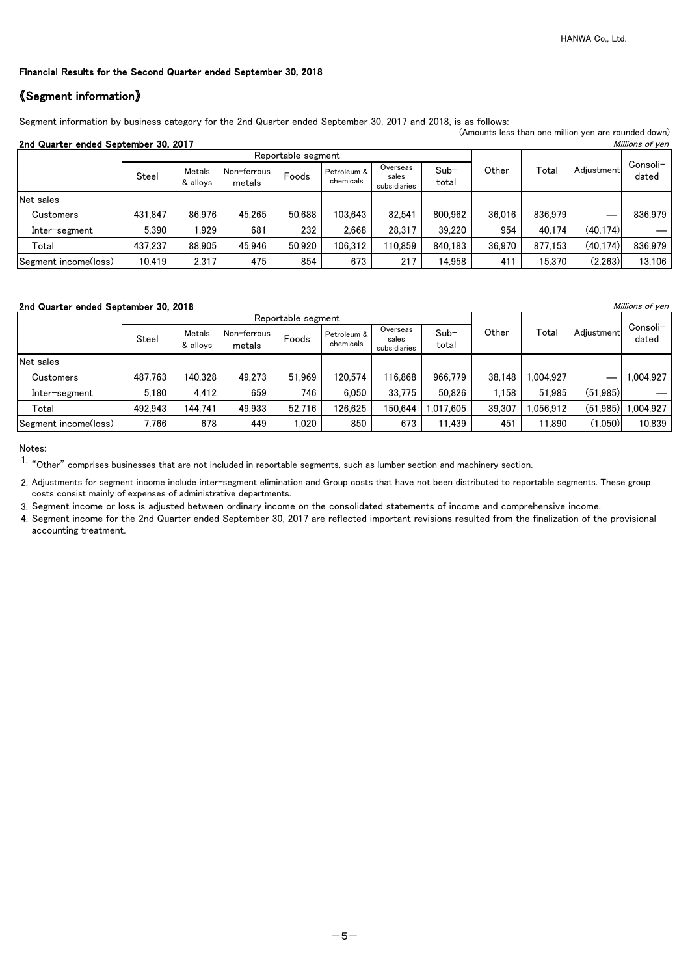# 《Segment information》

Segment information by business category for the 2nd Quarter ended September 30, 2017 and 2018, is as follows:

### 2nd Quarter ended September 30, 2017

|                                                         |         |                    |                       |                    |                          |                                   |                 |        |         | (Amounts less than one million yen are rounded down) |                   |
|---------------------------------------------------------|---------|--------------------|-----------------------|--------------------|--------------------------|-----------------------------------|-----------------|--------|---------|------------------------------------------------------|-------------------|
| 2nd Quarter ended September 30, 2017<br>Millions of yen |         |                    |                       |                    |                          |                                   |                 |        |         |                                                      |                   |
|                                                         |         |                    |                       | Reportable segment |                          |                                   |                 |        |         |                                                      |                   |
|                                                         | Steel   | Metals<br>& alloys | Non-ferrous<br>metals | Foods              | Petroleum &<br>chemicals | Overseas<br>sales<br>subsidiaries | $Sub-$<br>total | Other  | Total   | Adiustment                                           | Consoli-<br>dated |
| Net sales                                               |         |                    |                       |                    |                          |                                   |                 |        |         |                                                      |                   |
| Customers                                               | 431.847 | 86.976             | 45,265                | 50,688             | 103,643                  | 82,541                            | 800,962         | 36,016 | 836,979 |                                                      | 836,979           |
| Inter-segment                                           | 5.390   | .929               | 681                   | 232                | 2,668                    | 28,317                            | 39,220          | 954    | 40.174  | (40, 174)                                            |                   |
| Total                                                   | 437,237 | 88,905             | 45,946                | 50,920             | 106,312                  | 110.859                           | 840,183         | 36,970 | 877,153 | (40, 174)                                            | 836,979           |
| Segment income(loss)                                    | 10,419  | 2,317              | 475                   | 854                | 673                      | 217                               | 14,958          | 411    | 15,370  | (2, 263)                                             | 13,106            |

#### 2nd Quarter ended September 30, 2018 **Millions of yen**

|                      |         |                    |                       | Reportable segment |                          |                                   |                 |        |          |            |                   |
|----------------------|---------|--------------------|-----------------------|--------------------|--------------------------|-----------------------------------|-----------------|--------|----------|------------|-------------------|
|                      | Steel   | Metals<br>& allovs | Non-ferrous<br>metals | Foods              | Petroleum &<br>chemicals | Overseas<br>sales<br>subsidiaries | $Sub-$<br>total | Other  | Total    | Adiustment | Consoli-<br>dated |
| Net sales            |         |                    |                       |                    |                          |                                   |                 |        |          |            |                   |
| Customers            | 487.763 | 140,328            | 49.273                | 51.969             | 120,574                  | 116,868                           | 966.779         | 38,148 | .004.927 | —          | 1,004,927         |
| Inter-segment        | 5,180   | 4,412              | 659                   | 746                | 6,050                    | 33,775                            | 50,826          | .158   | 51,985   | (51, 985)  |                   |
| Total                | 492,943 | 144,741            | 49,933                | 52.716             | 26,625                   | 150,644                           | 1,017,605       | 39,307 | 056.912  | (51, 985)  | 1,004,927         |
| Segment income(loss) | 7.766   | 678                | 449                   | .020               | 850                      | 673                               | 11,439          | 451    | 11.890   | (1,050)    | 10,839            |

Notes:

1. "Other" comprises businesses that are not included in reportable segments, such as lumber section and machinery section.

3. Segment income or loss is adjusted between ordinary income on the consolidated statements of income and comprehensive income.

4. Segment income for the 2nd Quarter ended September 30, 2017 are reflected important revisions resulted from the finalization of the provisional accounting treatment.

<sup>2.</sup> Adjustments for segment income include inter-segment elimination and Group costs that have not been distributed to reportable segments. These group costs consist mainly of expenses of administrative departments.